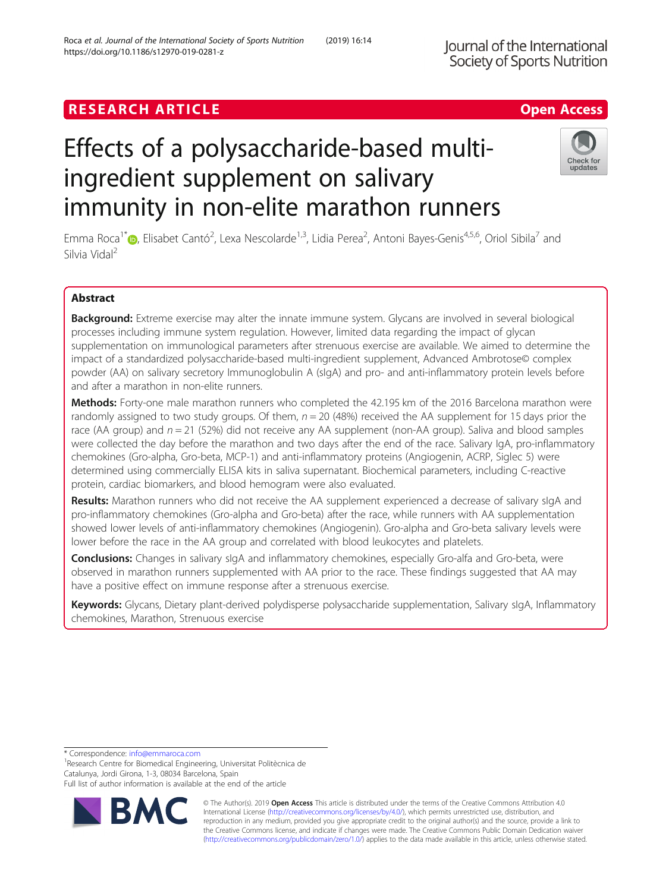# **RESEARCH ARTICLE Example 2018 12:30 The Contract of Contract ACCESS**

# Effects of a polysaccharide-based multiingredient supplement on salivary immunity in non-elite marathon runners

Emma Roca<sup>1\*</sup>®[,](http://orcid.org/0000-0002-2338-5877) Elisabet Cantó<sup>2</sup>, Lexa Nescolarde<sup>1,3</sup>, Lidia Perea<sup>2</sup>, Antoni Bayes-Genis<sup>4,5,6</sup>, Oriol Sibila<sup>7</sup> and Silvia Vidal<sup>2</sup>

# Abstract

Background: Extreme exercise may alter the innate immune system. Glycans are involved in several biological processes including immune system regulation. However, limited data regarding the impact of glycan supplementation on immunological parameters after strenuous exercise are available. We aimed to determine the impact of a standardized polysaccharide-based multi-ingredient supplement, Advanced Ambrotose© complex powder (AA) on salivary secretory Immunoglobulin A (sIgA) and pro- and anti-inflammatory protein levels before and after a marathon in non-elite runners.

Methods: Forty-one male marathon runners who completed the 42.195 km of the 2016 Barcelona marathon were randomly assigned to two study groups. Of them,  $n = 20$  (48%) received the AA supplement for 15 days prior the race (AA group) and  $n = 21$  (52%) did not receive any AA supplement (non-AA group). Saliva and blood samples were collected the day before the marathon and two days after the end of the race. Salivary IgA, pro-inflammatory chemokines (Gro-alpha, Gro-beta, MCP-1) and anti-inflammatory proteins (Angiogenin, ACRP, Siglec 5) were determined using commercially ELISA kits in saliva supernatant. Biochemical parameters, including C-reactive protein, cardiac biomarkers, and blood hemogram were also evaluated.

Results: Marathon runners who did not receive the AA supplement experienced a decrease of salivary sIgA and pro-inflammatory chemokines (Gro-alpha and Gro-beta) after the race, while runners with AA supplementation showed lower levels of anti-inflammatory chemokines (Angiogenin). Gro-alpha and Gro-beta salivary levels were lower before the race in the AA group and correlated with blood leukocytes and platelets.

Conclusions: Changes in salivary sIgA and inflammatory chemokines, especially Gro-alfa and Gro-beta, were observed in marathon runners supplemented with AA prior to the race. These findings suggested that AA may have a positive effect on immune response after a strenuous exercise.

Keywords: Glycans, Dietary plant-derived polydisperse polysaccharide supplementation, Salivary sIgA, Inflammatory chemokines, Marathon, Strenuous exercise

\* Correspondence: [info@emmaroca.com](mailto:info@emmaroca.com) <sup>1</sup>

<sup>1</sup> Research Centre for Biomedical Engineering, Universitat Politècnica de Catalunya, Jordi Girona, 1-3, 08034 Barcelona, Spain

Full list of author information is available at the end of the article

© The Author(s). 2019 **Open Access** This article is distributed under the terms of the Creative Commons Attribution 4.0 International License [\(http://creativecommons.org/licenses/by/4.0/](http://creativecommons.org/licenses/by/4.0/)), which permits unrestricted use, distribution, and reproduction in any medium, provided you give appropriate credit to the original author(s) and the source, provide a link to the Creative Commons license, and indicate if changes were made. The Creative Commons Public Domain Dedication waiver [\(http://creativecommons.org/publicdomain/zero/1.0/](http://creativecommons.org/publicdomain/zero/1.0/)) applies to the data made available in this article, unless otherwise stated.

Roca et al. Journal of the International Society of Sports Nutrition (2019) 16:14 https://doi.org/10.1186/s12970-019-0281-z



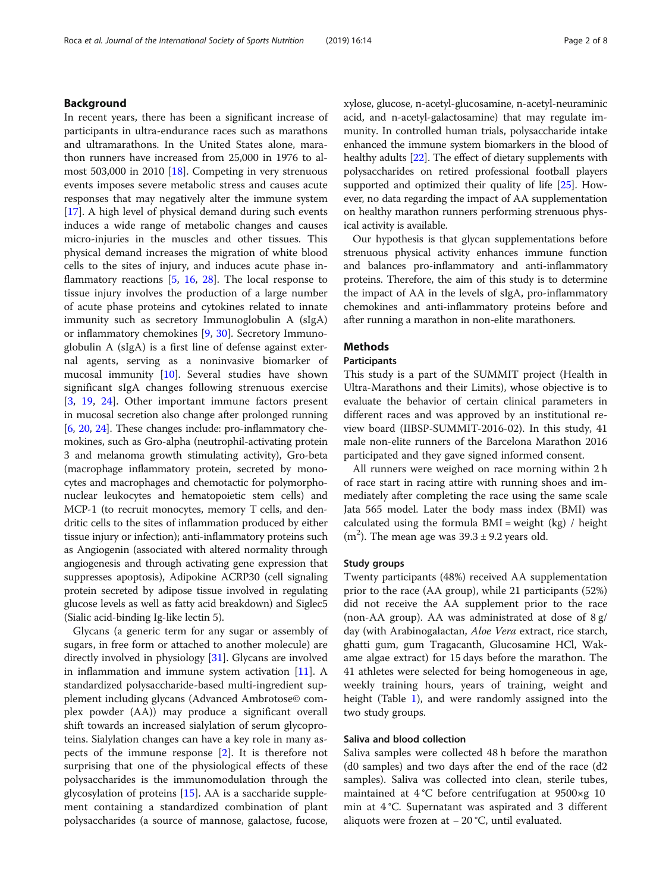# Background

In recent years, there has been a significant increase of participants in ultra-endurance races such as marathons and ultramarathons. In the United States alone, marathon runners have increased from 25,000 in 1976 to almost 503,000 in 2010 [\[18](#page-7-0)]. Competing in very strenuous events imposes severe metabolic stress and causes acute responses that may negatively alter the immune system [[17\]](#page-7-0). A high level of physical demand during such events induces a wide range of metabolic changes and causes micro-injuries in the muscles and other tissues. This physical demand increases the migration of white blood cells to the sites of injury, and induces acute phase inflammatory reactions [\[5,](#page-7-0) [16](#page-7-0), [28](#page-7-0)]. The local response to tissue injury involves the production of a large number of acute phase proteins and cytokines related to innate immunity such as secretory Immunoglobulin A (sIgA) or inflammatory chemokines [\[9](#page-7-0), [30\]](#page-7-0). Secretory Immunoglobulin A (sIgA) is a first line of defense against external agents, serving as a noninvasive biomarker of mucosal immunity [[10\]](#page-7-0). Several studies have shown significant sIgA changes following strenuous exercise [[3,](#page-7-0) [19](#page-7-0), [24\]](#page-7-0). Other important immune factors present in mucosal secretion also change after prolonged running [[6,](#page-7-0) [20](#page-7-0), [24](#page-7-0)]. These changes include: pro-inflammatory chemokines, such as Gro-alpha (neutrophil-activating protein 3 and melanoma growth stimulating activity), Gro-beta (macrophage inflammatory protein, secreted by monocytes and macrophages and chemotactic for polymorphonuclear leukocytes and hematopoietic stem cells) and MCP-1 (to recruit monocytes, memory T cells, and dendritic cells to the sites of inflammation produced by either tissue injury or infection); anti-inflammatory proteins such as Angiogenin (associated with altered normality through angiogenesis and through activating gene expression that suppresses apoptosis), Adipokine ACRP30 (cell signaling protein secreted by adipose tissue involved in regulating glucose levels as well as fatty acid breakdown) and Siglec5 (Sialic acid-binding Ig-like lectin 5).

Glycans (a generic term for any sugar or assembly of sugars, in free form or attached to another molecule) are directly involved in physiology [[31](#page-7-0)]. Glycans are involved in inflammation and immune system activation  $[11]$  $[11]$ . A standardized polysaccharide-based multi-ingredient supplement including glycans (Advanced Ambrotose© complex powder (AA)) may produce a significant overall shift towards an increased sialylation of serum glycoproteins. Sialylation changes can have a key role in many aspects of the immune response [[2\]](#page-7-0). It is therefore not surprising that one of the physiological effects of these polysaccharides is the immunomodulation through the glycosylation of proteins [[15\]](#page-7-0). AA is a saccharide supplement containing a standardized combination of plant polysaccharides (a source of mannose, galactose, fucose,

xylose, glucose, n-acetyl-glucosamine, n-acetyl-neuraminic acid, and n-acetyl-galactosamine) that may regulate immunity. In controlled human trials, polysaccharide intake enhanced the immune system biomarkers in the blood of healthy adults [\[22\]](#page-7-0). The effect of dietary supplements with polysaccharides on retired professional football players supported and optimized their quality of life [[25](#page-7-0)]. However, no data regarding the impact of AA supplementation on healthy marathon runners performing strenuous physical activity is available.

Our hypothesis is that glycan supplementations before strenuous physical activity enhances immune function and balances pro-inflammatory and anti-inflammatory proteins. Therefore, the aim of this study is to determine the impact of AA in the levels of sIgA, pro-inflammatory chemokines and anti-inflammatory proteins before and after running a marathon in non-elite marathoners.

#### Methods

#### Participants

This study is a part of the SUMMIT project (Health in Ultra-Marathons and their Limits), whose objective is to evaluate the behavior of certain clinical parameters in different races and was approved by an institutional review board (IIBSP-SUMMIT-2016-02). In this study, 41 male non-elite runners of the Barcelona Marathon 2016 participated and they gave signed informed consent.

All runners were weighed on race morning within 2 h of race start in racing attire with running shoes and immediately after completing the race using the same scale Jata 565 model. Later the body mass index (BMI) was calculated using the formula  $BMI = weight (kg) / height$ (m<sup>2</sup>). The mean age was  $39.3 \pm 9.2$  years old.

#### Study groups

Twenty participants (48%) received AA supplementation prior to the race (AA group), while 21 participants (52%) did not receive the AA supplement prior to the race (non-AA group). AA was administrated at dose of 8 g/ day (with Arabinogalactan, Aloe Vera extract, rice starch, ghatti gum, gum Tragacanth, Glucosamine HCl, Wakame algae extract) for 15 days before the marathon. The 41 athletes were selected for being homogeneous in age, weekly training hours, years of training, weight and height (Table [1](#page-2-0)), and were randomly assigned into the two study groups.

# Saliva and blood collection

Saliva samples were collected 48 h before the marathon (d0 samples) and two days after the end of the race (d2 samples). Saliva was collected into clean, sterile tubes, maintained at 4 °C before centrifugation at 9500×g 10 min at 4 °C. Supernatant was aspirated and 3 different aliquots were frozen at − 20 °C, until evaluated.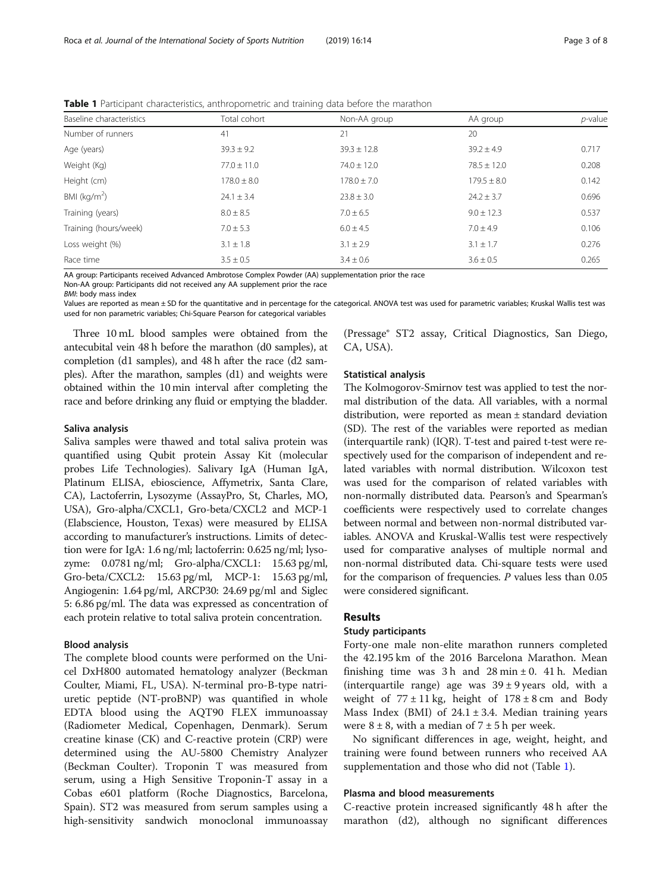| <b>TWARE T</b> anticipant characteristics, antinopolitically and training data before the marathorn |                 |                 |                 |            |  |
|-----------------------------------------------------------------------------------------------------|-----------------|-----------------|-----------------|------------|--|
| Baseline characteristics                                                                            | Total cohort    | Non-AA group    | AA group        | $p$ -value |  |
| Number of runners                                                                                   | 41              | 21              | 20              |            |  |
| Age (years)                                                                                         | $39.3 \pm 9.2$  | $39.3 \pm 12.8$ | $39.2 \pm 4.9$  | 0.717      |  |
| Weight (Kg)                                                                                         | $77.0 \pm 11.0$ | $74.0 \pm 12.0$ | $78.5 \pm 12.0$ | 0.208      |  |
| Height (cm)                                                                                         | $178.0 \pm 8.0$ | $178.0 \pm 7.0$ | $179.5 \pm 8.0$ | 0.142      |  |
| BMI ( $kg/m2$ )                                                                                     | $24.1 \pm 3.4$  | $23.8 \pm 3.0$  | $24.2 \pm 3.7$  | 0.696      |  |
| Training (years)                                                                                    | $8.0 \pm 8.5$   | $7.0 \pm 6.5$   | $9.0 \pm 12.3$  | 0.537      |  |
| Training (hours/week)                                                                               | $7.0 \pm 5.3$   | $6.0 \pm 4.5$   | $7.0 \pm 4.9$   | 0.106      |  |
| Loss weight (%)                                                                                     | $3.1 \pm 1.8$   | $3.1 \pm 2.9$   | $3.1 \pm 1.7$   | 0.276      |  |
| Race time                                                                                           | $3.5 \pm 0.5$   | $3.4 \pm 0.6$   | $3.6 \pm 0.5$   | 0.265      |  |

<span id="page-2-0"></span>**Table 1** Participant characteristics, anthropometric and training data before the marathon

AA group: Participants received Advanced Ambrotose Complex Powder (AA) supplementation prior the race

Non-AA group: Participants did not received any AA supplement prior the race

BMI: body mass index

Values are reported as mean ± SD for the quantitative and in percentage for the categorical. ANOVA test was used for parametric variables; Kruskal Wallis test was used for non parametric variables; Chi-Square Pearson for categorical variables

Three 10 mL blood samples were obtained from the antecubital vein 48 h before the marathon (d0 samples), at completion (d1 samples), and 48 h after the race (d2 samples). After the marathon, samples (d1) and weights were obtained within the 10 min interval after completing the race and before drinking any fluid or emptying the bladder.

#### Saliva analysis

Saliva samples were thawed and total saliva protein was quantified using Qubit protein Assay Kit (molecular probes Life Technologies). Salivary IgA (Human IgA, Platinum ELISA, ebioscience, Affymetrix, Santa Clare, CA), Lactoferrin, Lysozyme (AssayPro, St, Charles, MO, USA), Gro-alpha/CXCL1, Gro-beta/CXCL2 and MCP-1 (Elabscience, Houston, Texas) were measured by ELISA according to manufacturer's instructions. Limits of detection were for IgA: 1.6 ng/ml; lactoferrin: 0.625 ng/ml; lysozyme: 0.0781 ng/ml; Gro-alpha/CXCL1: 15.63 pg/ml, Gro-beta/CXCL2: 15.63 pg/ml, MCP-1: 15.63 pg/ml, Angiogenin: 1.64 pg/ml, ARCP30: 24.69 pg/ml and Siglec 5: 6.86 pg/ml. The data was expressed as concentration of each protein relative to total saliva protein concentration.

#### Blood analysis

The complete blood counts were performed on the Unicel DxH800 automated hematology analyzer (Beckman Coulter, Miami, FL, USA). N-terminal pro-B-type natriuretic peptide (NT-proBNP) was quantified in whole EDTA blood using the AQT90 FLEX immunoassay (Radiometer Medical, Copenhagen, Denmark). Serum creatine kinase (CK) and C-reactive protein (CRP) were determined using the AU-5800 Chemistry Analyzer (Beckman Coulter). Troponin T was measured from serum, using a High Sensitive Troponin-T assay in a Cobas e601 platform (Roche Diagnostics, Barcelona, Spain). ST2 was measured from serum samples using a high-sensitivity sandwich monoclonal immunoassay (Pressage® ST2 assay, Critical Diagnostics, San Diego, CA, USA).

#### Statistical analysis

The Kolmogorov-Smirnov test was applied to test the normal distribution of the data. All variables, with a normal distribution, were reported as mean ± standard deviation (SD). The rest of the variables were reported as median (interquartile rank) (IQR). T-test and paired t-test were respectively used for the comparison of independent and related variables with normal distribution. Wilcoxon test was used for the comparison of related variables with non-normally distributed data. Pearson's and Spearman's coefficients were respectively used to correlate changes between normal and between non-normal distributed variables. ANOVA and Kruskal-Wallis test were respectively used for comparative analyses of multiple normal and non-normal distributed data. Chi-square tests were used for the comparison of frequencies.  $P$  values less than 0.05 were considered significant.

#### Results

#### Study participants

Forty-one male non-elite marathon runners completed the 42.195 km of the 2016 Barcelona Marathon. Mean finishing time was  $3 h$  and  $28 min \pm 0$ .  $41 h$ . Median (interquartile range) age was  $39 \pm 9$  years old, with a weight of  $77 \pm 11$  kg, height of  $178 \pm 8$  cm and Body Mass Index (BMI) of  $24.1 \pm 3.4$ . Median training years were  $8 \pm 8$ , with a median of  $7 \pm 5$  h per week.

No significant differences in age, weight, height, and training were found between runners who received AA supplementation and those who did not (Table 1).

# Plasma and blood measurements

C-reactive protein increased significantly 48 h after the marathon (d2), although no significant differences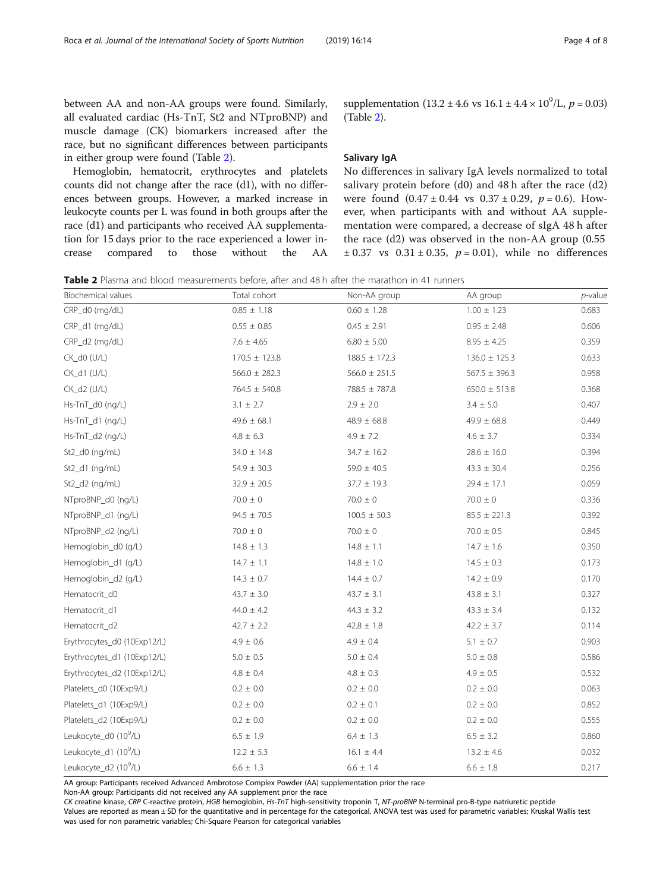between AA and non-AA groups were found. Similarly, all evaluated cardiac (Hs-TnT, St2 and NTproBNP) and muscle damage (CK) biomarkers increased after the race, but no significant differences between participants in either group were found (Table 2).

Hemoglobin, hematocrit, erythrocytes and platelets counts did not change after the race (d1), with no differences between groups. However, a marked increase in leukocyte counts per L was found in both groups after the race (d1) and participants who received AA supplementation for 15 days prior to the race experienced a lower increase compared to those without the AA

supplementation  $(13.2 \pm 4.6 \text{ vs } 16.1 \pm 4.4 \times 10^9 \text{/L}, p = 0.03)$ (Table 2).

# Salivary IgA

No differences in salivary IgA levels normalized to total salivary protein before (d0) and 48 h after the race (d2) were found  $(0.47 \pm 0.44 \text{ vs } 0.37 \pm 0.29, p = 0.6)$ . However, when participants with and without AA supplementation were compared, a decrease of sIgA 48 h after the race (d2) was observed in the non-AA group (0.55  $\pm 0.37$  vs  $0.31 \pm 0.35$ ,  $p = 0.01$ ), while no differences

Table 2 Plasma and blood measurements before, after and 48 h after the marathon in 41 runners

| Biochemical values                | Total cohort      | Non-AA group      | AA group          | $p$ -value |
|-----------------------------------|-------------------|-------------------|-------------------|------------|
| CRP_d0 (mg/dL)                    | $0.85 \pm 1.18$   | $0.60 \pm 1.28$   | $1.00 \pm 1.23$   | 0.683      |
| CRP_d1 (mg/dL)                    | $0.55 \pm 0.85$   | $0.45 \pm 2.91$   | $0.95 \pm 2.48$   | 0.606      |
| CRP_d2 (mg/dL)                    | $7.6 \pm 4.65$    | $6.80 \pm 5.00$   | $8.95 \pm 4.25$   | 0.359      |
| CK_d0 (U/L)                       | $170.5 \pm 123.8$ | $188.5 \pm 172.3$ | $136.0 \pm 125.3$ | 0.633      |
| CK_d1 (U/L)                       | $566.0 \pm 282.3$ | $566.0 \pm 251.5$ | $567.5 \pm 396.3$ | 0.958      |
| CK_d2 (U/L)                       | $764.5 \pm 540.8$ | 788.5 ± 787.8     | $650.0 \pm 513.8$ | 0.368      |
| Hs-TnT_d0 (ng/L)                  | $3.1 \pm 2.7$     | $2.9 \pm 2.0$     | $3.4 \pm 5.0$     | 0.407      |
| Hs-TnT_d1 (ng/L)                  | $49.6 \pm 68.1$   | $48.9 \pm 68.8$   | $49.9 \pm 68.8$   | 0.449      |
| Hs-TnT_d2 (ng/L)                  | $4.8 \pm 6.3$     | $4.9 \pm 7.2$     | $4.6 \pm 3.7$     | 0.334      |
| St2_d0 (ng/mL)                    | $34.0 \pm 14.8$   | $34.7 \pm 16.2$   | $28.6 \pm 16.0$   | 0.394      |
| St2_d1 (ng/mL)                    | $54.9 \pm 30.3$   | $59.0 \pm 40.5$   | $43.3 \pm 30.4$   | 0.256      |
| St2_d2 (ng/mL)                    | $32.9 \pm 20.5$   | $37.7 \pm 19.3$   | $29.4 \pm 17.1$   | 0.059      |
| NTproBNP_d0 (ng/L)                | $70.0 \pm 0$      | $70.0 \pm 0$      | $70.0 \pm 0$      | 0.336      |
| NTproBNP_d1 (ng/L)                | $94.5 \pm 70.5$   | $100.5 \pm 50.3$  | $85.5 \pm 221.3$  | 0.392      |
| NTproBNP_d2 (ng/L)                | $70.0 \pm 0$      | $70.0 \pm 0$      | $70.0 \pm 0.5$    | 0.845      |
| Hemoglobin d0 (g/L)               | $14.8 \pm 1.3$    | $14.8 \pm 1.1$    | $14.7 \pm 1.6$    | 0.350      |
| Hemoglobin_d1 (g/L)               | $14.7 \pm 1.1$    | $14.8 \pm 1.0$    | $14.5 \pm 0.3$    | 0.173      |
| Hemoglobin_d2 (g/L)               | $14.3 \pm 0.7$    | $14.4\pm0.7$      | $14.2 \pm 0.9$    | 0.170      |
| Hematocrit_d0                     | $43.7 \pm 3.0$    | $43.7 \pm 3.1$    | $43.8 \pm 3.1$    | 0.327      |
| Hematocrit_d1                     | $44.0 \pm 4.2$    | $44.3 \pm 3.2$    | $43.3 \pm 3.4$    | 0.132      |
| Hematocrit d2                     | $42.7 \pm 2.2$    | $42.8 \pm 1.8$    | $42.2 \pm 3.7$    | 0.114      |
| Erythrocytes_d0 (10Exp12/L)       | $4.9 \pm 0.6$     | $4.9 \pm 0.4$     | $5.1\,\pm\,0.7$   | 0.903      |
| Erythrocytes_d1 (10Exp12/L)       | $5.0 \pm 0.5$     | $5.0 \pm 0.4$     | $5.0 \pm 0.8$     | 0.586      |
| Erythrocytes_d2 (10Exp12/L)       | $4.8 \pm 0.4$     | $4.8 \pm 0.3$     | $4.9 \pm 0.5$     | 0.532      |
| Platelets_d0 (10Exp9/L)           | $0.2 \pm 0.0$     | $0.2 \pm 0.0$     | $0.2 \pm 0.0$     | 0.063      |
| Platelets_d1 (10Exp9/L)           | $0.2 \pm 0.0$     | $0.2 \pm 0.1$     | $0.2 \pm 0.0$     | 0.852      |
| Platelets_d2 (10Exp9/L)           | $0.2 \pm 0.0$     | $0.2 \pm 0.0$     | $0.2 \pm 0.0$     | 0.555      |
| Leukocyte_d0 (10 <sup>9</sup> /L) | $6.5 \pm 1.9$     | $6.4 \pm 1.3$     | $6.5 \pm 3.2$     | 0.860      |
| Leukocyte_d1 (10 <sup>9</sup> /L) | $12.2 \pm 5.3$    | $16.1 \pm 4.4$    | $13.2 \pm 4.6$    | 0.032      |
| Leukocyte_d2 (10 <sup>9</sup> /L) | $6.6 \pm 1.3$     | $6.6 \pm 1.4$     | $6.6 \pm 1.8$     | 0.217      |

AA group: Participants received Advanced Ambrotose Complex Powder (AA) supplementation prior the race

Non-AA group: Participants did not received any AA supplement prior the race

CK creatine kinase, CRP C-reactive protein, HGB hemoglobin, Hs-TnT high-sensitivity troponin T, NT-proBNP N-terminal pro-B-type natriuretic peptide Values are reported as mean ± SD for the quantitative and in percentage for the categorical. ANOVA test was used for parametric variables; Kruskal Wallis test was used for non parametric variables; Chi-Square Pearson for categorical variables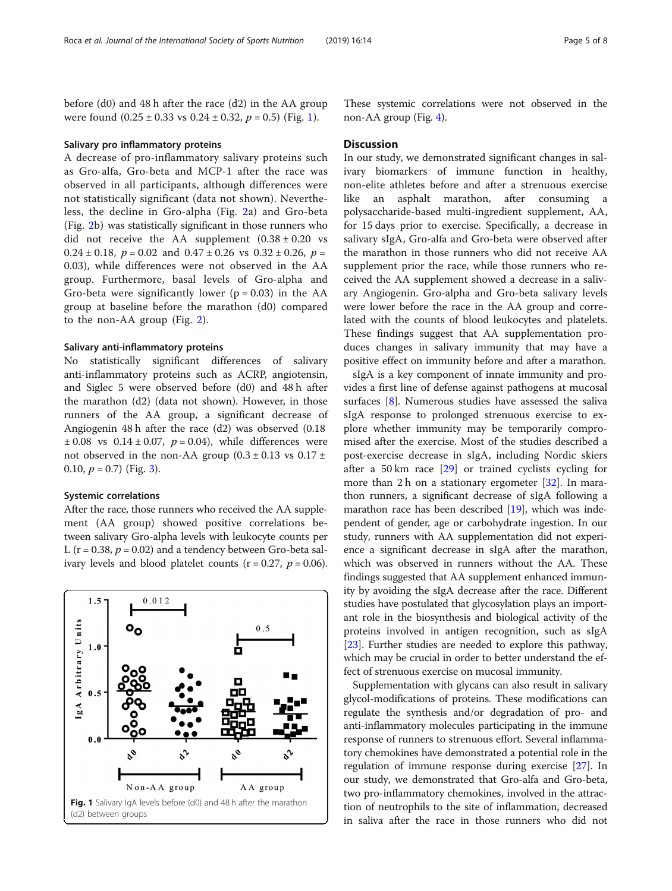before (d0) and 48 h after the race (d2) in the AA group were found  $(0.25 \pm 0.33 \text{ vs } 0.24 \pm 0.32, p = 0.5)$  (Fig. 1).

#### Salivary pro inflammatory proteins

A decrease of pro-inflammatory salivary proteins such as Gro-alfa, Gro-beta and MCP-1 after the race was observed in all participants, although differences were not statistically significant (data not shown). Nevertheless, the decline in Gro-alpha (Fig. [2](#page-5-0)a) and Gro-beta (Fig. [2b](#page-5-0)) was statistically significant in those runners who did not receive the AA supplement  $(0.38 \pm 0.20 \text{ vs }$ 0.24  $\pm$  0.18,  $p = 0.02$  and 0.47  $\pm$  0.26 vs 0.32  $\pm$  0.26,  $p =$ 0.03), while differences were not observed in the AA group. Furthermore, basal levels of Gro-alpha and Gro-beta were significantly lower ( $p = 0.03$ ) in the AA group at baseline before the marathon (d0) compared to the non-AA group (Fig. [2](#page-5-0)).

#### Salivary anti-inflammatory proteins

No statistically significant differences of salivary anti-inflammatory proteins such as ACRP, angiotensin, and Siglec 5 were observed before (d0) and 48 h after the marathon (d2) (data not shown). However, in those runners of the AA group, a significant decrease of Angiogenin 48 h after the race (d2) was observed (0.18  $\pm 0.08$  vs  $0.14 \pm 0.07$ ,  $p = 0.04$ ), while differences were not observed in the non-AA group  $(0.3 \pm 0.13 \text{ vs } 0.17 \pm 1.00)$ 0.10,  $p = 0.7$ ) (Fig. [3\)](#page-5-0).

#### Systemic correlations

After the race, those runners who received the AA supplement (AA group) showed positive correlations between salivary Gro-alpha levels with leukocyte counts per L ( $r = 0.38$ ,  $p = 0.02$ ) and a tendency between Gro-beta salivary levels and blood platelet counts ( $r = 0.27$ ,  $p = 0.06$ ).



These systemic correlations were not observed in the non-AA group (Fig. [4](#page-6-0)).

#### **Discussion**

In our study, we demonstrated significant changes in salivary biomarkers of immune function in healthy, non-elite athletes before and after a strenuous exercise like an asphalt marathon, after consuming a polysaccharide-based multi-ingredient supplement, AA, for 15 days prior to exercise. Specifically, a decrease in salivary sIgA, Gro-alfa and Gro-beta were observed after the marathon in those runners who did not receive AA supplement prior the race, while those runners who received the AA supplement showed a decrease in a salivary Angiogenin. Gro-alpha and Gro-beta salivary levels were lower before the race in the AA group and correlated with the counts of blood leukocytes and platelets. These findings suggest that AA supplementation produces changes in salivary immunity that may have a positive effect on immunity before and after a marathon.

sIgA is a key component of innate immunity and provides a first line of defense against pathogens at mucosal surfaces [[8\]](#page-7-0). Numerous studies have assessed the saliva sIgA response to prolonged strenuous exercise to explore whether immunity may be temporarily compromised after the exercise. Most of the studies described a post-exercise decrease in sIgA, including Nordic skiers after a 50 km race [[29\]](#page-7-0) or trained cyclists cycling for more than 2 h on a stationary ergometer  $[32]$  $[32]$  $[32]$ . In marathon runners, a significant decrease of sIgA following a marathon race has been described [[19](#page-7-0)], which was independent of gender, age or carbohydrate ingestion. In our study, runners with AA supplementation did not experience a significant decrease in sIgA after the marathon, which was observed in runners without the AA. These findings suggested that AA supplement enhanced immunity by avoiding the sIgA decrease after the race. Different studies have postulated that glycosylation plays an important role in the biosynthesis and biological activity of the proteins involved in antigen recognition, such as sIgA [[23](#page-7-0)]. Further studies are needed to explore this pathway, which may be crucial in order to better understand the effect of strenuous exercise on mucosal immunity.

Supplementation with glycans can also result in salivary glycol-modifications of proteins. These modifications can regulate the synthesis and/or degradation of pro- and anti-inflammatory molecules participating in the immune response of runners to strenuous effort. Several inflammatory chemokines have demonstrated a potential role in the regulation of immune response during exercise [[27](#page-7-0)]. In our study, we demonstrated that Gro-alfa and Gro-beta, two pro-inflammatory chemokines, involved in the attraction of neutrophils to the site of inflammation, decreased in saliva after the race in those runners who did not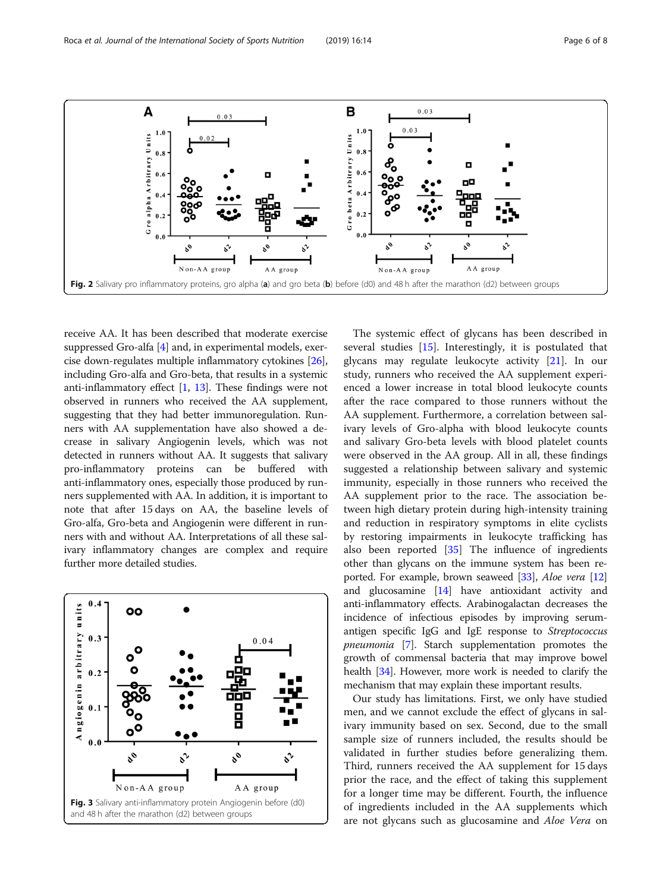receive AA. It has been described that moderate exercise suppressed Gro-alfa [[4\]](#page-7-0) and, in experimental models, exercise down-regulates multiple inflammatory cytokines [[26](#page-7-0)], including Gro-alfa and Gro-beta, that results in a systemic anti-inflammatory effect  $[1, 13]$  $[1, 13]$  $[1, 13]$  $[1, 13]$ . These findings were not observed in runners who received the AA supplement, suggesting that they had better immunoregulation. Runners with AA supplementation have also showed a decrease in salivary Angiogenin levels, which was not detected in runners without AA. It suggests that salivary pro-inflammatory proteins can be buffered with anti-inflammatory ones, especially those produced by runners supplemented with AA. In addition, it is important to note that after 15 days on AA, the baseline levels of Gro-alfa, Gro-beta and Angiogenin were different in runners with and without AA. Interpretations of all these salivary inflammatory changes are complex and require further more detailed studies.



The systemic effect of glycans has been described in several studies [\[15](#page-7-0)]. Interestingly, it is postulated that glycans may regulate leukocyte activity [[21](#page-7-0)]. In our study, runners who received the AA supplement experienced a lower increase in total blood leukocyte counts after the race compared to those runners without the AA supplement. Furthermore, a correlation between salivary levels of Gro-alpha with blood leukocyte counts and salivary Gro-beta levels with blood platelet counts were observed in the AA group. All in all, these findings suggested a relationship between salivary and systemic immunity, especially in those runners who received the AA supplement prior to the race. The association between high dietary protein during high-intensity training and reduction in respiratory symptoms in elite cyclists by restoring impairments in leukocyte trafficking has also been reported [[35\]](#page-7-0) The influence of ingredients other than glycans on the immune system has been re-ported. For example, brown seaweed [\[33\]](#page-7-0), Aloe vera [[12](#page-7-0)] and glucosamine [\[14\]](#page-7-0) have antioxidant activity and anti-inflammatory effects. Arabinogalactan decreases the incidence of infectious episodes by improving serumantigen specific IgG and IgE response to Streptococcus pneumonia [\[7](#page-7-0)]. Starch supplementation promotes the growth of commensal bacteria that may improve bowel health [\[34\]](#page-7-0). However, more work is needed to clarify the mechanism that may explain these important results.

Our study has limitations. First, we only have studied men, and we cannot exclude the effect of glycans in salivary immunity based on sex. Second, due to the small sample size of runners included, the results should be validated in further studies before generalizing them. Third, runners received the AA supplement for 15 days prior the race, and the effect of taking this supplement for a longer time may be different. Fourth, the influence of ingredients included in the AA supplements which are not glycans such as glucosamine and Aloe Vera on

<span id="page-5-0"></span>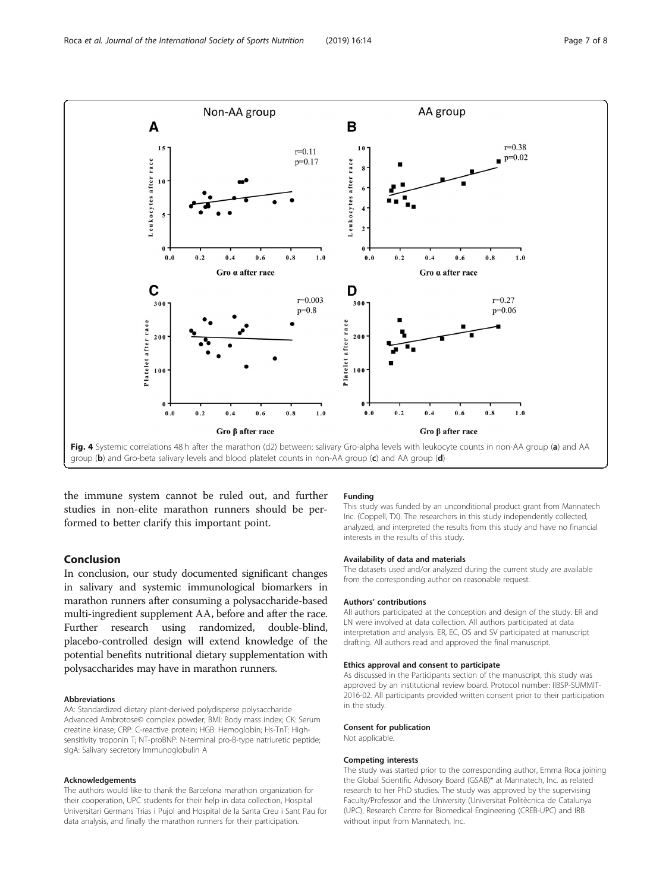<span id="page-6-0"></span>

the immune system cannot be ruled out, and further studies in non-elite marathon runners should be performed to better clarify this important point.

# Conclusion

In conclusion, our study documented significant changes in salivary and systemic immunological biomarkers in marathon runners after consuming a polysaccharide-based multi-ingredient supplement AA, before and after the race. Further research using randomized, double-blind, placebo-controlled design will extend knowledge of the potential benefits nutritional dietary supplementation with polysaccharides may have in marathon runners.

#### Abbreviations

AA: Standardized dietary plant-derived polydisperse polysaccharide Advanced Ambrotose© complex powder; BMI: Body mass index; CK: Serum creatine kinase; CRP: C-reactive protein; HGB: Hemoglobin; Hs-TnT: Highsensitivity troponin T; NT-proBNP: N-terminal pro-B-type natriuretic peptide; sIgA: Salivary secretory Immunoglobulin A

#### Acknowledgements

The authors would like to thank the Barcelona marathon organization for their cooperation, UPC students for their help in data collection, Hospital Universitari Germans Trias i Pujol and Hospital de la Santa Creu i Sant Pau for data analysis, and finally the marathon runners for their participation.

#### Funding

This study was funded by an unconditional product grant from Mannatech Inc. (Coppell, TX). The researchers in this study independently collected, analyzed, and interpreted the results from this study and have no financial interests in the results of this study.

#### Availability of data and materials

The datasets used and/or analyzed during the current study are available from the corresponding author on reasonable request.

#### Authors' contributions

All authors participated at the conception and design of the study. ER and LN were involved at data collection. All authors participated at data interpretation and analysis. ER, EC, OS and SV participated at manuscript drafting. All authors read and approved the final manuscript.

#### Ethics approval and consent to participate

As discussed in the Participants section of the manuscript, this study was approved by an institutional review board. Protocol number: IIBSP-SUMMIT-2016-02. All participants provided written consent prior to their participation in the study.

#### Consent for publication

Not applicable.

#### Competing interests

The study was started prior to the corresponding author, Emma Roca joining the Global Scientific Advisory Board (GSAB)\* at Mannatech, Inc. as related research to her PhD studies. The study was approved by the supervising Faculty/Professor and the University (Universitat Politècnica de Catalunya (UPC), Research Centre for Biomedical Engineering (CREB-UPC) and IRB without input from Mannatech, Inc.